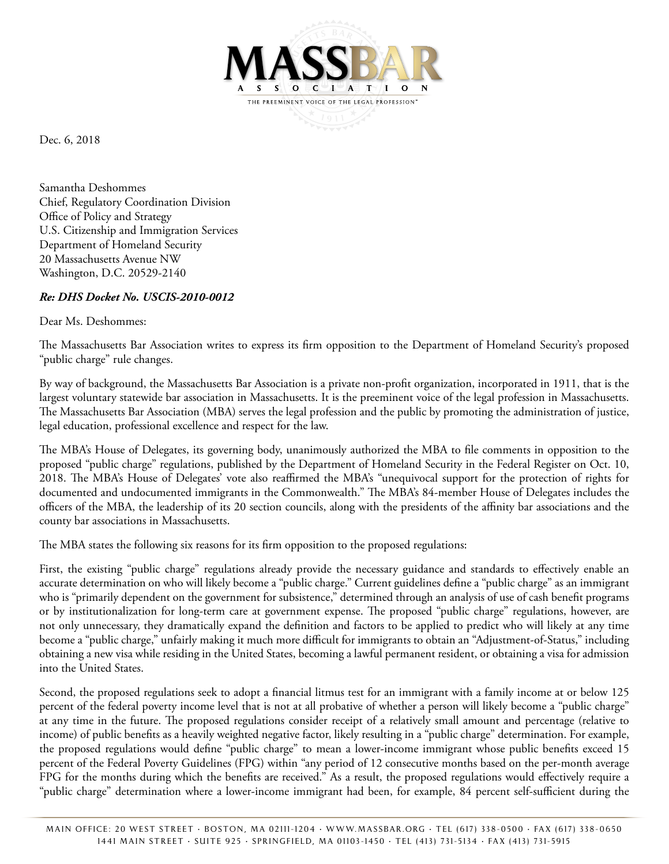

Dec. 6, 2018

Samantha Deshommes Chief, Regulatory Coordination Division Office of Policy and Strategy U.S. Citizenship and Immigration Services Department of Homeland Security 20 Massachusetts Avenue NW Washington, D.C. 20529-2140

# *Re: DHS Docket No. USCIS-2010-0012*

#### Dear Ms. Deshommes:

The Massachusetts Bar Association writes to express its firm opposition to the Department of Homeland Security's proposed "public charge" rule changes.

By way of background, the Massachusetts Bar Association is a private non-profit organization, incorporated in 1911, that is the largest voluntary statewide bar association in Massachusetts. It is the preeminent voice of the legal profession in Massachusetts. The Massachusetts Bar Association (MBA) serves the legal profession and the public by promoting the administration of justice, legal education, professional excellence and respect for the law.

The MBA's House of Delegates, its governing body, unanimously authorized the MBA to file comments in opposition to the proposed "public charge" regulations, published by the Department of Homeland Security in the Federal Register on Oct. 10, 2018. The MBA's House of Delegates' vote also reaffirmed the MBA's "unequivocal support for the protection of rights for documented and undocumented immigrants in the Commonwealth." The MBA's 84-member House of Delegates includes the officers of the MBA, the leadership of its 20 section councils, along with the presidents of the affinity bar associations and the county bar associations in Massachusetts.

The MBA states the following six reasons for its firm opposition to the proposed regulations:

First, the existing "public charge" regulations already provide the necessary guidance and standards to effectively enable an accurate determination on who will likely become a "public charge." Current guidelines define a "public charge" as an immigrant who is "primarily dependent on the government for subsistence," determined through an analysis of use of cash benefit programs or by institutionalization for long-term care at government expense. The proposed "public charge" regulations, however, are not only unnecessary, they dramatically expand the definition and factors to be applied to predict who will likely at any time become a "public charge," unfairly making it much more difficult for immigrants to obtain an "Adjustment-of-Status," including obtaining a new visa while residing in the United States, becoming a lawful permanent resident, or obtaining a visa for admission into the United States.

Second, the proposed regulations seek to adopt a financial litmus test for an immigrant with a family income at or below 125 percent of the federal poverty income level that is not at all probative of whether a person will likely become a "public charge" at any time in the future. The proposed regulations consider receipt of a relatively small amount and percentage (relative to income) of public benefits as a heavily weighted negative factor, likely resulting in a "public charge" determination. For example, the proposed regulations would define "public charge" to mean a lower-income immigrant whose public benefits exceed 15 percent of the Federal Poverty Guidelines (FPG) within "any period of 12 consecutive months based on the per-month average FPG for the months during which the benefits are received." As a result, the proposed regulations would effectively require a "public charge" determination where a lower-income immigrant had been, for example, 84 percent self-sufficient during the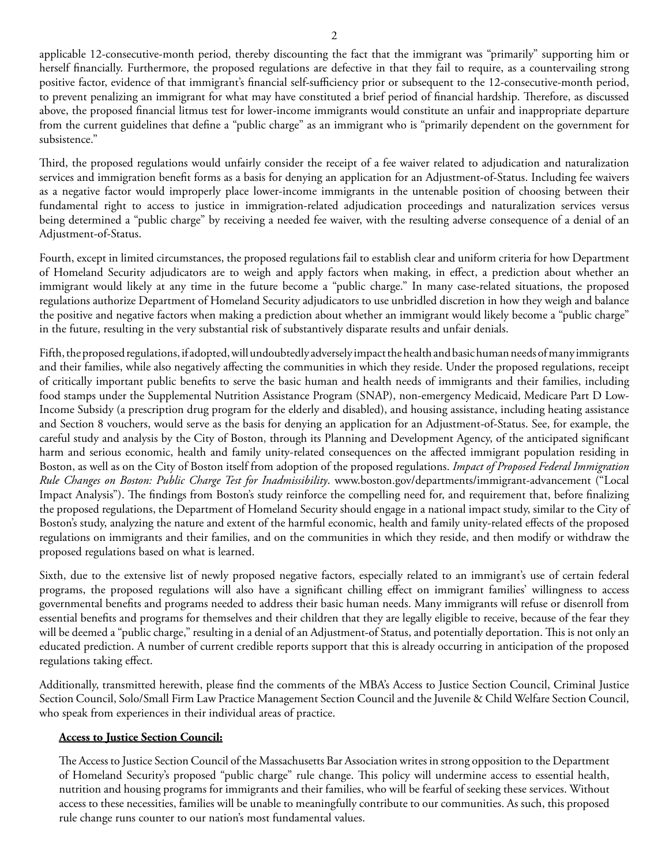applicable 12-consecutive-month period, thereby discounting the fact that the immigrant was "primarily" supporting him or herself financially. Furthermore, the proposed regulations are defective in that they fail to require, as a countervailing strong positive factor, evidence of that immigrant's financial self-sufficiency prior or subsequent to the 12-consecutive-month period, to prevent penalizing an immigrant for what may have constituted a brief period of financial hardship. Therefore, as discussed above, the proposed financial litmus test for lower-income immigrants would constitute an unfair and inappropriate departure from the current guidelines that define a "public charge" as an immigrant who is "primarily dependent on the government for subsistence."

Third, the proposed regulations would unfairly consider the receipt of a fee waiver related to adjudication and naturalization services and immigration benefit forms as a basis for denying an application for an Adjustment-of-Status. Including fee waivers as a negative factor would improperly place lower-income immigrants in the untenable position of choosing between their fundamental right to access to justice in immigration-related adjudication proceedings and naturalization services versus being determined a "public charge" by receiving a needed fee waiver, with the resulting adverse consequence of a denial of an Adjustment-of-Status.

Fourth, except in limited circumstances, the proposed regulations fail to establish clear and uniform criteria for how Department of Homeland Security adjudicators are to weigh and apply factors when making, in effect, a prediction about whether an immigrant would likely at any time in the future become a "public charge." In many case-related situations, the proposed regulations authorize Department of Homeland Security adjudicators to use unbridled discretion in how they weigh and balance the positive and negative factors when making a prediction about whether an immigrant would likely become a "public charge" in the future, resulting in the very substantial risk of substantively disparate results and unfair denials.

Fifth, the proposed regulations, if adopted, will undoubtedly adversely impact the health and basic human needs of many immigrants and their families, while also negatively affecting the communities in which they reside. Under the proposed regulations, receipt of critically important public benefits to serve the basic human and health needs of immigrants and their families, including food stamps under the Supplemental Nutrition Assistance Program (SNAP), non-emergency Medicaid, Medicare Part D Low-Income Subsidy (a prescription drug program for the elderly and disabled), and housing assistance, including heating assistance and Section 8 vouchers, would serve as the basis for denying an application for an Adjustment-of-Status. See, for example, the careful study and analysis by the City of Boston, through its Planning and Development Agency, of the anticipated significant harm and serious economic, health and family unity-related consequences on the affected immigrant population residing in Boston, as well as on the City of Boston itself from adoption of the proposed regulations. *Impact of Proposed Federal Immigration Rule Changes on Boston: Public Charge Test for Inadmissibility*. www.boston.gov/departments/immigrant-advancement ("Local Impact Analysis"). The findings from Boston's study reinforce the compelling need for, and requirement that, before finalizing the proposed regulations, the Department of Homeland Security should engage in a national impact study, similar to the City of Boston's study, analyzing the nature and extent of the harmful economic, health and family unity-related effects of the proposed regulations on immigrants and their families, and on the communities in which they reside, and then modify or withdraw the proposed regulations based on what is learned.

Sixth, due to the extensive list of newly proposed negative factors, especially related to an immigrant's use of certain federal programs, the proposed regulations will also have a significant chilling effect on immigrant families' willingness to access governmental benefits and programs needed to address their basic human needs. Many immigrants will refuse or disenroll from essential benefits and programs for themselves and their children that they are legally eligible to receive, because of the fear they will be deemed a "public charge," resulting in a denial of an Adjustment-of Status, and potentially deportation. This is not only an educated prediction. A number of current credible reports support that this is already occurring in anticipation of the proposed regulations taking effect.

Additionally, transmitted herewith, please find the comments of the MBA's Access to Justice Section Council, Criminal Justice Section Council, Solo/Small Firm Law Practice Management Section Council and the Juvenile & Child Welfare Section Council, who speak from experiences in their individual areas of practice.

### **Access to Justice Section Council:**

The Access to Justice Section Council of the Massachusetts Bar Association writes in strong opposition to the Department of Homeland Security's proposed "public charge" rule change. This policy will undermine access to essential health, nutrition and housing programs for immigrants and their families, who will be fearful of seeking these services. Without access to these necessities, families will be unable to meaningfully contribute to our communities. As such, this proposed rule change runs counter to our nation's most fundamental values.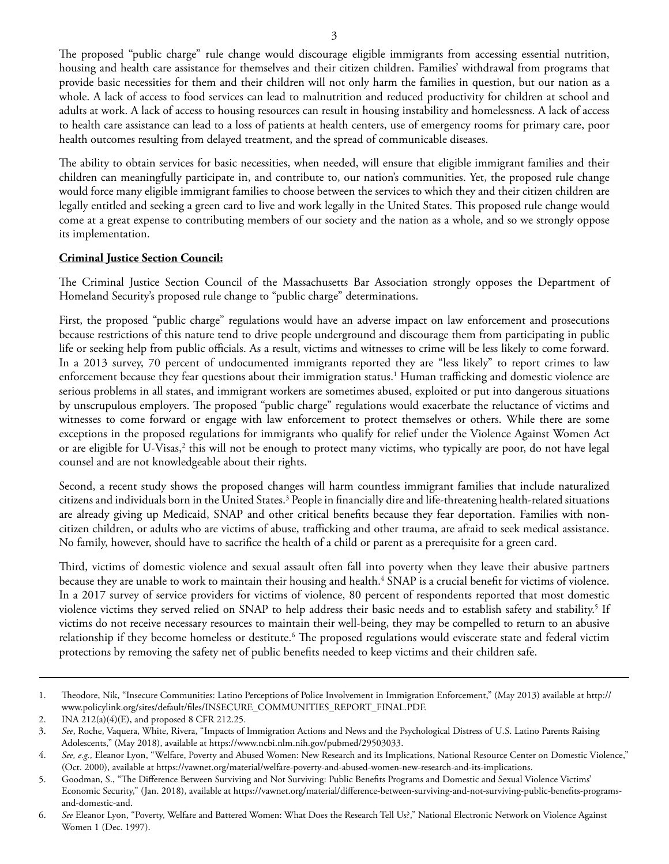The proposed "public charge" rule change would discourage eligible immigrants from accessing essential nutrition, housing and health care assistance for themselves and their citizen children. Families' withdrawal from programs that provide basic necessities for them and their children will not only harm the families in question, but our nation as a whole. A lack of access to food services can lead to malnutrition and reduced productivity for children at school and adults at work. A lack of access to housing resources can result in housing instability and homelessness. A lack of access to health care assistance can lead to a loss of patients at health centers, use of emergency rooms for primary care, poor health outcomes resulting from delayed treatment, and the spread of communicable diseases.

The ability to obtain services for basic necessities, when needed, will ensure that eligible immigrant families and their children can meaningfully participate in, and contribute to, our nation's communities. Yet, the proposed rule change would force many eligible immigrant families to choose between the services to which they and their citizen children are legally entitled and seeking a green card to live and work legally in the United States. This proposed rule change would come at a great expense to contributing members of our society and the nation as a whole, and so we strongly oppose its implementation.

### **Criminal Justice Section Council:**

The Criminal Justice Section Council of the Massachusetts Bar Association strongly opposes the Department of Homeland Security's proposed rule change to "public charge" determinations.

First, the proposed "public charge" regulations would have an adverse impact on law enforcement and prosecutions because restrictions of this nature tend to drive people underground and discourage them from participating in public life or seeking help from public officials. As a result, victims and witnesses to crime will be less likely to come forward. In a 2013 survey, 70 percent of undocumented immigrants reported they are "less likely" to report crimes to law enforcement because they fear questions about their immigration status.1 Human trafficking and domestic violence are serious problems in all states, and immigrant workers are sometimes abused, exploited or put into dangerous situations by unscrupulous employers. The proposed "public charge" regulations would exacerbate the reluctance of victims and witnesses to come forward or engage with law enforcement to protect themselves or others. While there are some exceptions in the proposed regulations for immigrants who qualify for relief under the Violence Against Women Act or are eligible for U-Visas,<sup>2</sup> this will not be enough to protect many victims, who typically are poor, do not have legal counsel and are not knowledgeable about their rights.

Second, a recent study shows the proposed changes will harm countless immigrant families that include naturalized citizens and individuals born in the United States.<sup>3</sup> People in financially dire and life-threatening health-related situations are already giving up Medicaid, SNAP and other critical benefits because they fear deportation. Families with noncitizen children, or adults who are victims of abuse, trafficking and other trauma, are afraid to seek medical assistance. No family, however, should have to sacrifice the health of a child or parent as a prerequisite for a green card.

Third, victims of domestic violence and sexual assault often fall into poverty when they leave their abusive partners because they are unable to work to maintain their housing and health.<sup>4</sup> SNAP is a crucial benefit for victims of violence. In a 2017 survey of service providers for victims of violence, 80 percent of respondents reported that most domestic violence victims they served relied on SNAP to help address their basic needs and to establish safety and stability.<sup>5</sup> If victims do not receive necessary resources to maintain their well-being, they may be compelled to return to an abusive relationship if they become homeless or destitute.<sup>6</sup> The proposed regulations would eviscerate state and federal victim protections by removing the safety net of public benefits needed to keep victims and their children safe.

<sup>1.</sup> Theodore, Nik, "Insecure Communities: Latino Perceptions of Police Involvement in Immigration Enforcement," (May 2013) available at http:// www.policylink.org/sites/default/files/INSECURE\_COMMUNITIES\_REPORT\_FINAL.PDF.

<sup>2.</sup> INA 212(a)(4)(E), and proposed 8 CFR 212.25.

<sup>3.</sup> *See*, Roche, Vaquera, White, Rivera, "Impacts of Immigration Actions and News and the Psychological Distress of U.S. Latino Parents Raising Adolescents," (May 2018), available at https://www.ncbi.nlm.nih.gov/pubmed/29503033.

<sup>4.</sup> See, e.g., Eleanor Lyon, "Welfare, Poverty and Abused Women: New Research and its Implications, National Resource Center on Domestic Violence," (Oct. 2000), available at https://vawnet.org/material/welfare-poverty-and-abused-women-new-research-and-its-implications.

<sup>5.</sup> Goodman, S., "The Difference Between Surviving and Not Surviving: Public Benefits Programs and Domestic and Sexual Violence Victims' Economic Security," (Jan. 2018), available at https://vawnet.org/material/difference-between-surviving-and-not-surviving-public-benefits-programsand-domestic-and.

<sup>6.</sup> *See* Eleanor Lyon, "Poverty, Welfare and Battered Women: What Does the Research Tell Us?," National Electronic Network on Violence Against Women 1 (Dec. 1997).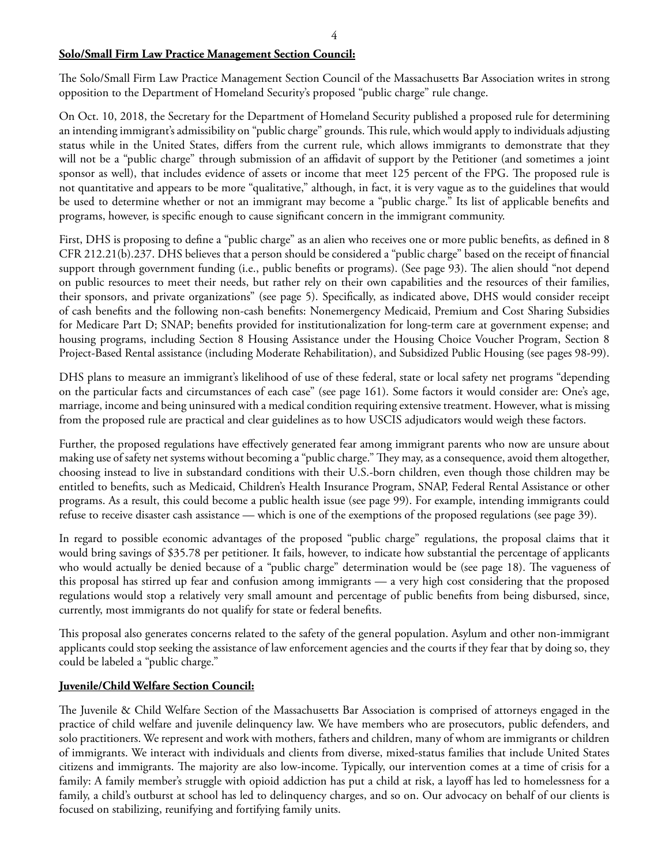## **Solo/Small Firm Law Practice Management Section Council:**

The Solo/Small Firm Law Practice Management Section Council of the Massachusetts Bar Association writes in strong opposition to the Department of Homeland Security's proposed "public charge" rule change.

On Oct. 10, 2018, the Secretary for the Department of Homeland Security published a proposed rule for determining an intending immigrant's admissibility on "public charge" grounds. This rule, which would apply to individuals adjusting status while in the United States, differs from the current rule, which allows immigrants to demonstrate that they will not be a "public charge" through submission of an affidavit of support by the Petitioner (and sometimes a joint sponsor as well), that includes evidence of assets or income that meet 125 percent of the FPG. The proposed rule is not quantitative and appears to be more "qualitative," although, in fact, it is very vague as to the guidelines that would be used to determine whether or not an immigrant may become a "public charge." Its list of applicable benefits and programs, however, is specific enough to cause significant concern in the immigrant community.

First, DHS is proposing to define a "public charge" as an alien who receives one or more public benefits, as defined in 8 CFR 212.21(b).237. DHS believes that a person should be considered a "public charge" based on the receipt of financial support through government funding (i.e., public benefits or programs). (See page 93). The alien should "not depend on public resources to meet their needs, but rather rely on their own capabilities and the resources of their families, their sponsors, and private organizations" (see page 5). Specifically, as indicated above, DHS would consider receipt of cash benefits and the following non-cash benefits: Nonemergency Medicaid, Premium and Cost Sharing Subsidies for Medicare Part D; SNAP; benefits provided for institutionalization for long-term care at government expense; and housing programs, including Section 8 Housing Assistance under the Housing Choice Voucher Program, Section 8 Project-Based Rental assistance (including Moderate Rehabilitation), and Subsidized Public Housing (see pages 98-99).

DHS plans to measure an immigrant's likelihood of use of these federal, state or local safety net programs "depending on the particular facts and circumstances of each case" (see page 161). Some factors it would consider are: One's age, marriage, income and being uninsured with a medical condition requiring extensive treatment. However, what is missing from the proposed rule are practical and clear guidelines as to how USCIS adjudicators would weigh these factors.

Further, the proposed regulations have effectively generated fear among immigrant parents who now are unsure about making use of safety net systems without becoming a "public charge." They may, as a consequence, avoid them altogether, choosing instead to live in substandard conditions with their U.S.-born children, even though those children may be entitled to benefits, such as Medicaid, Children's Health Insurance Program, SNAP, Federal Rental Assistance or other programs. As a result, this could become a public health issue (see page 99). For example, intending immigrants could refuse to receive disaster cash assistance — which is one of the exemptions of the proposed regulations (see page 39).

In regard to possible economic advantages of the proposed "public charge" regulations, the proposal claims that it would bring savings of \$35.78 per petitioner. It fails, however, to indicate how substantial the percentage of applicants who would actually be denied because of a "public charge" determination would be (see page 18). The vagueness of this proposal has stirred up fear and confusion among immigrants — a very high cost considering that the proposed regulations would stop a relatively very small amount and percentage of public benefits from being disbursed, since, currently, most immigrants do not qualify for state or federal benefits.

This proposal also generates concerns related to the safety of the general population. Asylum and other non-immigrant applicants could stop seeking the assistance of law enforcement agencies and the courts if they fear that by doing so, they could be labeled a "public charge."

### **Juvenile/Child Welfare Section Council:**

The Juvenile & Child Welfare Section of the Massachusetts Bar Association is comprised of attorneys engaged in the practice of child welfare and juvenile delinquency law. We have members who are prosecutors, public defenders, and solo practitioners. We represent and work with mothers, fathers and children, many of whom are immigrants or children of immigrants. We interact with individuals and clients from diverse, mixed-status families that include United States citizens and immigrants. The majority are also low-income. Typically, our intervention comes at a time of crisis for a family: A family member's struggle with opioid addiction has put a child at risk, a layoff has led to homelessness for a family, a child's outburst at school has led to delinquency charges, and so on. Our advocacy on behalf of our clients is focused on stabilizing, reunifying and fortifying family units.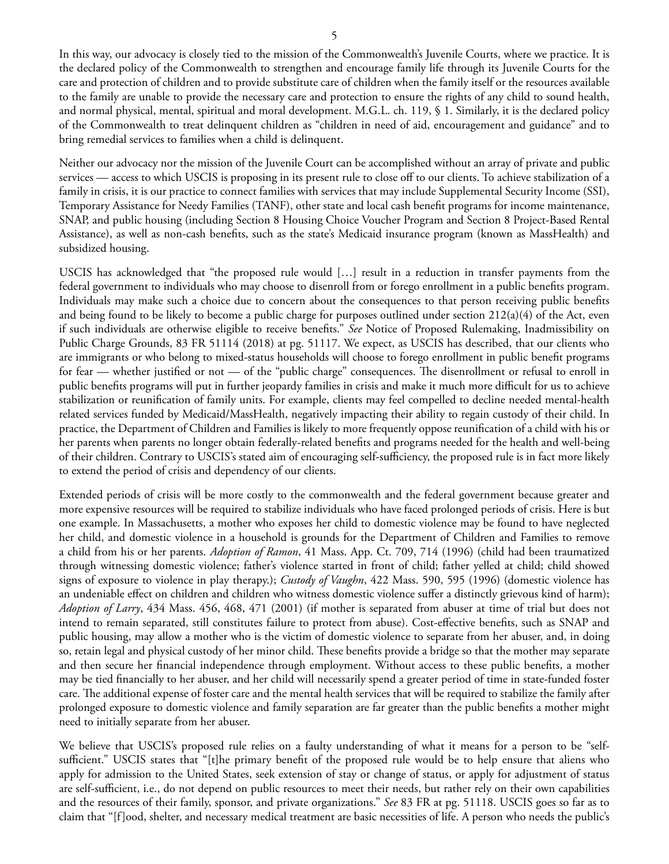In this way, our advocacy is closely tied to the mission of the Commonwealth's Juvenile Courts, where we practice. It is the declared policy of the Commonwealth to strengthen and encourage family life through its Juvenile Courts for the care and protection of children and to provide substitute care of children when the family itself or the resources available to the family are unable to provide the necessary care and protection to ensure the rights of any child to sound health, and normal physical, mental, spiritual and moral development. M.G.L. ch. 119, § 1. Similarly, it is the declared policy of the Commonwealth to treat delinquent children as "children in need of aid, encouragement and guidance" and to bring remedial services to families when a child is delinquent.

Neither our advocacy nor the mission of the Juvenile Court can be accomplished without an array of private and public services — access to which USCIS is proposing in its present rule to close off to our clients. To achieve stabilization of a family in crisis, it is our practice to connect families with services that may include Supplemental Security Income (SSI), Temporary Assistance for Needy Families (TANF), other state and local cash benefit programs for income maintenance, SNAP, and public housing (including Section 8 Housing Choice Voucher Program and Section 8 Project-Based Rental Assistance), as well as non-cash benefits, such as the state's Medicaid insurance program (known as MassHealth) and subsidized housing.

USCIS has acknowledged that "the proposed rule would […] result in a reduction in transfer payments from the federal government to individuals who may choose to disenroll from or forego enrollment in a public benefits program. Individuals may make such a choice due to concern about the consequences to that person receiving public benefits and being found to be likely to become a public charge for purposes outlined under section  $212(a)(4)$  of the Act, even if such individuals are otherwise eligible to receive benefits." *See* Notice of Proposed Rulemaking, Inadmissibility on Public Charge Grounds, 83 FR 51114 (2018) at pg. 51117. We expect, as USCIS has described, that our clients who are immigrants or who belong to mixed-status households will choose to forego enrollment in public benefit programs for fear — whether justified or not — of the "public charge" consequences. The disenrollment or refusal to enroll in public benefits programs will put in further jeopardy families in crisis and make it much more difficult for us to achieve stabilization or reunification of family units. For example, clients may feel compelled to decline needed mental-health related services funded by Medicaid/MassHealth, negatively impacting their ability to regain custody of their child. In practice, the Department of Children and Families is likely to more frequently oppose reunification of a child with his or her parents when parents no longer obtain federally-related benefits and programs needed for the health and well-being of their children. Contrary to USCIS's stated aim of encouraging self-sufficiency, the proposed rule is in fact more likely to extend the period of crisis and dependency of our clients.

Extended periods of crisis will be more costly to the commonwealth and the federal government because greater and more expensive resources will be required to stabilize individuals who have faced prolonged periods of crisis. Here is but one example. In Massachusetts, a mother who exposes her child to domestic violence may be found to have neglected her child, and domestic violence in a household is grounds for the Department of Children and Families to remove a child from his or her parents. *Adoption of Ramon*, 41 Mass. App. Ct. 709, 714 (1996) (child had been traumatized through witnessing domestic violence; father's violence started in front of child; father yelled at child; child showed signs of exposure to violence in play therapy.); *Custody of Vaughn*, 422 Mass. 590, 595 (1996) (domestic violence has an undeniable effect on children and children who witness domestic violence suffer a distinctly grievous kind of harm); *Adoption of Larry*, 434 Mass. 456, 468, 471 (2001) (if mother is separated from abuser at time of trial but does not intend to remain separated, still constitutes failure to protect from abuse). Cost-effective benefits, such as SNAP and public housing, may allow a mother who is the victim of domestic violence to separate from her abuser, and, in doing so, retain legal and physical custody of her minor child. These benefits provide a bridge so that the mother may separate and then secure her financial independence through employment. Without access to these public benefits, a mother may be tied financially to her abuser, and her child will necessarily spend a greater period of time in state-funded foster care. The additional expense of foster care and the mental health services that will be required to stabilize the family after prolonged exposure to domestic violence and family separation are far greater than the public benefits a mother might need to initially separate from her abuser.

We believe that USCIS's proposed rule relies on a faulty understanding of what it means for a person to be "selfsufficient." USCIS states that "[t]he primary benefit of the proposed rule would be to help ensure that aliens who apply for admission to the United States, seek extension of stay or change of status, or apply for adjustment of status are self-sufficient, i.e., do not depend on public resources to meet their needs, but rather rely on their own capabilities and the resources of their family, sponsor, and private organizations." *See* 83 FR at pg. 51118. USCIS goes so far as to claim that "[f]ood, shelter, and necessary medical treatment are basic necessities of life. A person who needs the public's